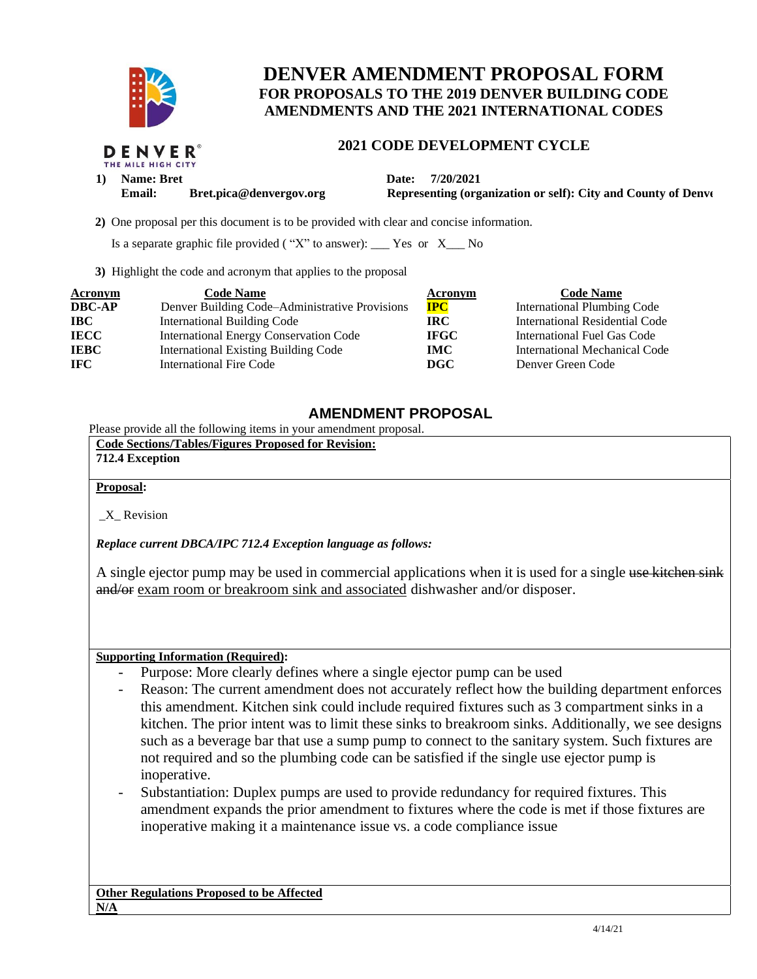

DENVER

# **DENVER AMENDMENT PROPOSAL FORM FOR PROPOSALS TO THE 2019 DENVER BUILDING CODE AMENDMENTS AND THE 2021 INTERNATIONAL CODES**

### **2021 CODE DEVELOPMENT CYCLE**

THE MILE HIGH CITY 1) **Name: Bret Date: 7/20/2021** 

**Email:** Bret.pica@denvergov.org Representing (organization or self): City and County of Denve

 **2)** One proposal per this document is to be provided with clear and concise information.

Is a separate graphic file provided ( $"X"$  to answer): \_\_\_ Yes or  $X$ \_\_ No

**3)** Highlight the code and acronym that applies to the proposal

| <b>Acronym</b> | <b>Code Name</b>                               | <b>Acronym</b> | <b>Code Name</b>                   |
|----------------|------------------------------------------------|----------------|------------------------------------|
| <b>DBC-AP</b>  | Denver Building Code–Administrative Provisions | <b>IPC</b>     | <b>International Plumbing Code</b> |
| <b>IBC</b>     | <b>International Building Code</b>             | IRC.           | International Residential Code     |
| <b>IECC</b>    | <b>International Energy Conservation Code</b>  | <b>IFGC</b>    | International Fuel Gas Code        |
| <b>IEBC</b>    | <b>International Existing Building Code</b>    | <b>IMC</b>     | International Mechanical Code      |
| <b>IFC</b>     | International Fire Code                        | <b>DGC</b>     | Denver Green Code                  |

## **AMENDMENT PROPOSAL**

Please provide all the following items in your amendment proposal.

| <b>Code Sections/Tables/Figures Proposed for Revision:</b> |  |  |
|------------------------------------------------------------|--|--|
| 712.4 Exception                                            |  |  |

### **Proposal:**

\_X\_ Revision

*Replace current DBCA/IPC 712.4 Exception language as follows:* 

A single ejector pump may be used in commercial applications when it is used for a single use kitchen sink and/or exam room or breakroom sink and associated dishwasher and/or disposer.

### **Supporting Information (Required):**

- Purpose: More clearly defines where a single ejector pump can be used
- Reason: The current amendment does not accurately reflect how the building department enforces this amendment. Kitchen sink could include required fixtures such as 3 compartment sinks in a kitchen. The prior intent was to limit these sinks to breakroom sinks. Additionally, we see designs such as a beverage bar that use a sump pump to connect to the sanitary system. Such fixtures are not required and so the plumbing code can be satisfied if the single use ejector pump is inoperative.
- Substantiation: Duplex pumps are used to provide redundancy for required fixtures. This amendment expands the prior amendment to fixtures where the code is met if those fixtures are inoperative making it a maintenance issue vs. a code compliance issue